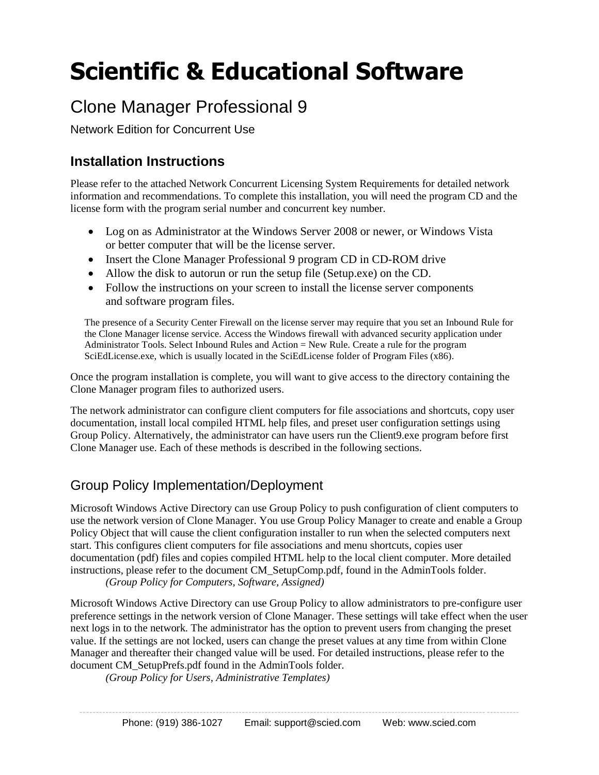# **Scientific & Educational Software**

## Clone Manager Professional 9

Network Edition for Concurrent Use

## **Installation Instructions**

Please refer to the attached Network Concurrent Licensing System Requirements for detailed network information and recommendations. To complete this installation, you will need the program CD and the license form with the program serial number and concurrent key number.

- Log on as Administrator at the Windows Server 2008 or newer, or Windows Vista or better computer that will be the license server.
- Insert the Clone Manager Professional 9 program CD in CD-ROM drive
- Allow the disk to autorun or run the setup file (Setup.exe) on the CD.
- Follow the instructions on your screen to install the license server components and software program files.

The presence of a Security Center Firewall on the license server may require that you set an Inbound Rule for the Clone Manager license service. Access the Windows firewall with advanced security application under Administrator Tools. Select Inbound Rules and Action = New Rule. Create a rule for the program SciEdLicense.exe, which is usually located in the SciEdLicense folder of Program Files (x86).

Once the program installation is complete, you will want to give access to the directory containing the Clone Manager program files to authorized users.

The network administrator can configure client computers for file associations and shortcuts, copy user documentation, install local compiled HTML help files, and preset user configuration settings using Group Policy. Alternatively, the administrator can have users run the Client9.exe program before first Clone Manager use. Each of these methods is described in the following sections.

### Group Policy Implementation/Deployment

Microsoft Windows Active Directory can use Group Policy to push configuration of client computers to use the network version of Clone Manager. You use Group Policy Manager to create and enable a Group Policy Object that will cause the client configuration installer to run when the selected computers next start. This configures client computers for file associations and menu shortcuts, copies user documentation (pdf) files and copies compiled HTML help to the local client computer. More detailed instructions, please refer to the document CM\_SetupComp.pdf, found in the AdminTools folder.

*(Group Policy for Computers, Software, Assigned)*

Microsoft Windows Active Directory can use Group Policy to allow administrators to pre-configure user preference settings in the network version of Clone Manager. These settings will take effect when the user next logs in to the network. The administrator has the option to prevent users from changing the preset value. If the settings are not locked, users can change the preset values at any time from within Clone Manager and thereafter their changed value will be used. For detailed instructions, please refer to the document CM\_SetupPrefs.pdf found in the AdminTools folder.

*(Group Policy for Users, Administrative Templates)*